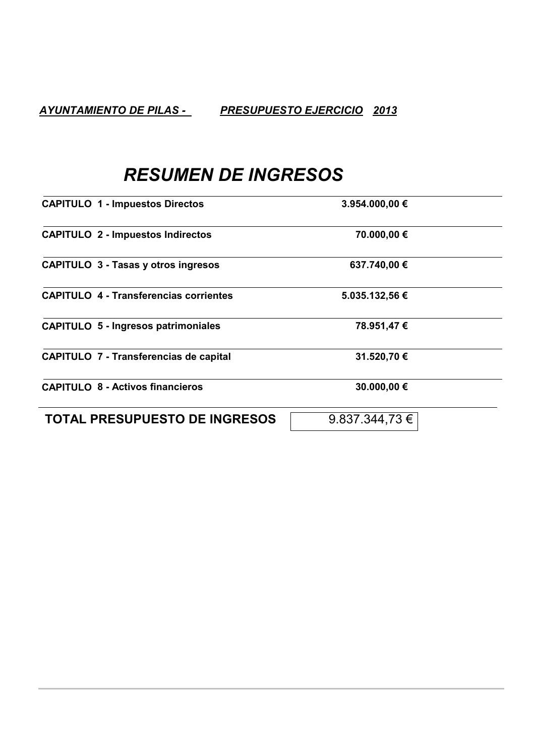# **RESUMEN DE INGRESOS**

| <b>CAPITULO 1 - Impuestos Directos</b>        | 3.954.000,00 €     |  |
|-----------------------------------------------|--------------------|--|
| <b>CAPITULO 2 - Impuestos Indirectos</b>      | 70.000,00 €        |  |
| <b>CAPITULO 3 - Tasas y otros ingresos</b>    | 637.740,00 €       |  |
| <b>CAPITULO 4 - Transferencias corrientes</b> | 5.035.132,56 €     |  |
| <b>CAPITULO 5 - Ingresos patrimoniales</b>    | 78.951,47€         |  |
| <b>CAPITULO 7 - Transferencias de capital</b> | 31.520,70 €        |  |
| <b>CAPITULO 8 - Activos financieros</b>       | 30.000,00 €        |  |
| <b>TOTAL PRESUPUESTO DE INGRESOS</b>          | $9.837.344.73 \in$ |  |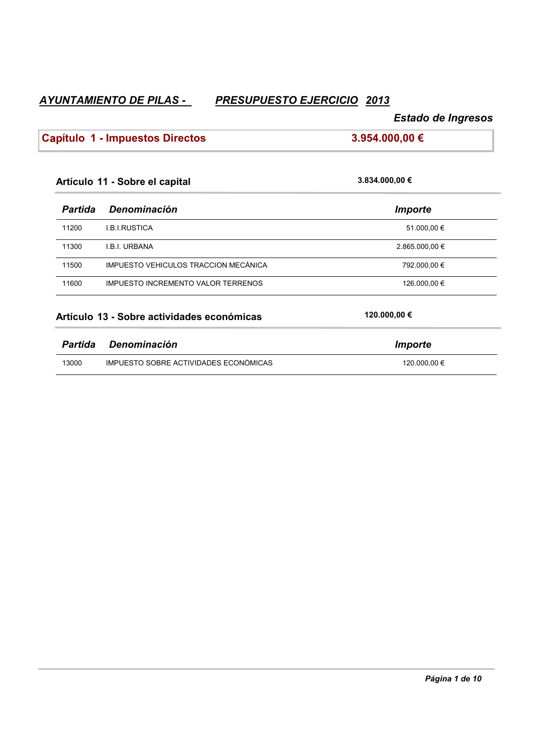# *`xtms`lhdmsn?cd?ohk`r?L oqdrtotdrsn?didqbhbhn QOPR*

# $E$ stado de Ingresos

# **b** Capítulo 1 - Impuestos Directos **bxicarrows** 3.954.000,00 €

| 3.834.000,00 €        |  |
|-----------------------|--|
| <b>Importe</b>        |  |
| 51.000,00 €           |  |
| 2.865.000,00 €        |  |
| 792.000,00 €          |  |
| 126.000,00 €          |  |
| 120.000,00 €          |  |
| <i><b>Importe</b></i> |  |
| 120.000,00 €          |  |
|                       |  |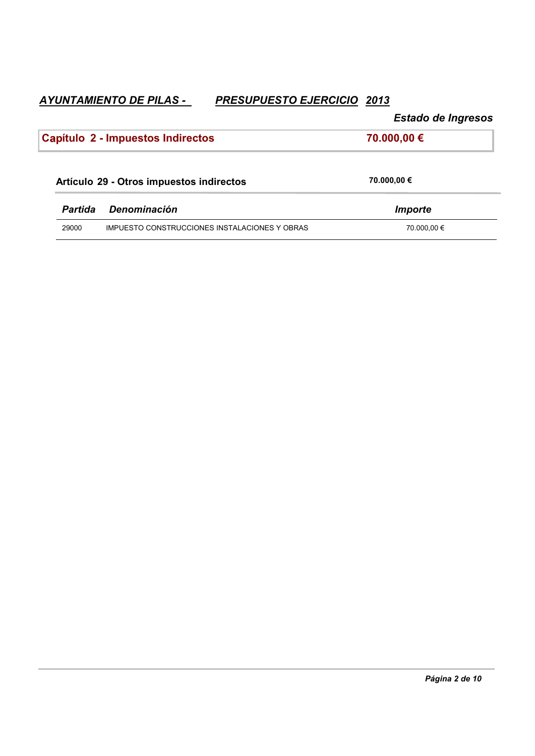ľ

Estado de Ingresos

|                | Capítulo 2 - Impuestos Indirectos             | 70.000,00 € |
|----------------|-----------------------------------------------|-------------|
|                | Artículo 29 - Otros impuestos indirectos      | 70.000,00 € |
| <b>Partida</b> | <b>Denominación</b>                           | Importe     |
| 29000          | IMPUESTO CONSTRUCCIONES INSTALACIONES Y OBRAS | 70.000,00 € |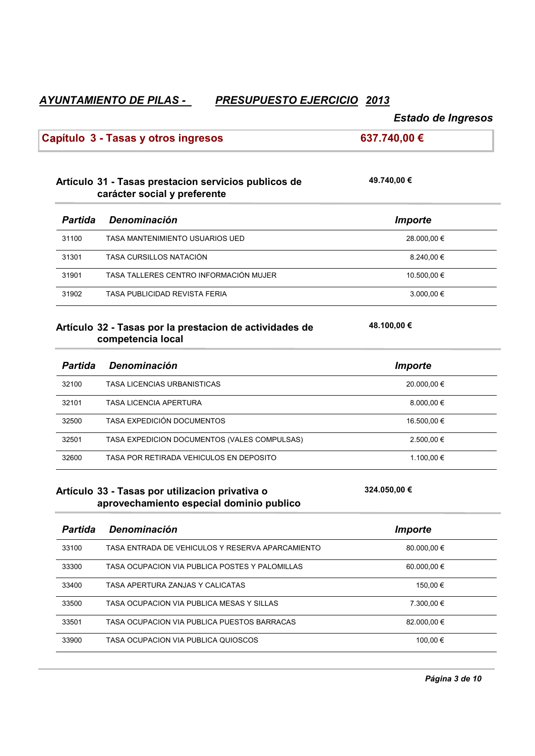# ✝*†‡\~›?~¡?h‹£‒¡†›†*

|                | Capítulo 3 - Tasas y otros ingresos                                                         | 637.740,00 €   |
|----------------|---------------------------------------------------------------------------------------------|----------------|
|                | Artículo 31 - Tasas prestacion servicios publicos de<br>carácter social y preferente        | 49.740,00 €    |
| <b>Partida</b> | Denominación                                                                                | <b>Importe</b> |
| 31100          | TASA MANTENIMIENTO USUARIOS UED                                                             | 28.000,00 €    |
| 31301          | TASA CURSILLOS NATACIÓN                                                                     | 8.240,00 €     |
| 31901          | TASA TALLERES CENTRO INFORMACIÓN MUJER                                                      | 10.500,00 €    |
| 31902          | TASA PUBLICIDAD REVISTA FERIA                                                               | 3.000,00 €     |
|                | Artículo 32 - Tasas por la prestacion de actividades de<br>competencia local                | 48.100,00 €    |
| <b>Partida</b> | Denominación                                                                                | <b>Importe</b> |
| 32100          | <b>TASA LICENCIAS URBANISTICAS</b>                                                          | 20.000,00 €    |
| 32101          | TASA LICENCIA APERTURA                                                                      | 8.000,00 €     |
| 32500          | TASA EXPEDICIÓN DOCUMENTOS                                                                  | 16.500,00 €    |
| 32501          | TASA EXPEDICION DOCUMENTOS (VALES COMPULSAS)                                                | 2.500,00 €     |
| 32600          | TASA POR RETIRADA VEHICULOS EN DEPOSITO                                                     | 1.100,00 €     |
|                | Artículo 33 - Tasas por utilizacion privativa o<br>aprovechamiento especial dominio publico | 324.050,00 €   |
|                | Partida Denominación                                                                        | <b>Importe</b> |
| 33100          | TASA ENTRADA DE VEHICULOS Y RESERVA APARCAMIENTO                                            | 80.000,00 €    |
| 33300          | TASA OCUPACION VIA PUBLICA POSTES Y PALOMILLAS                                              | 60.000,00 €    |
| 33400          | TASA APERTURA ZANJAS Y CALICATAS                                                            | 150,00 €       |
| 33500          |                                                                                             |                |
|                | TASA OCUPACIÓN VIA PUBLICA MESAS Y SILLAS                                                   | 7.300,00 €     |
| 33501          | TASA OCUPACION VIA PUBLICA PUESTOS BARRACAS                                                 | 82.000,00 €    |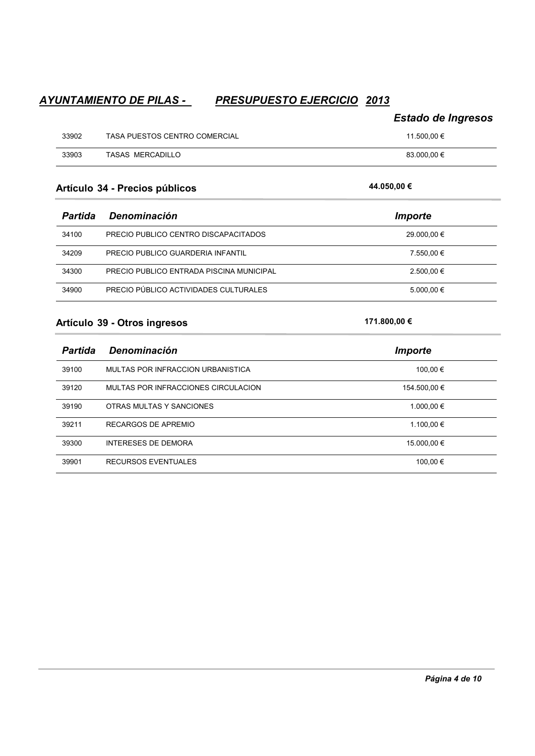|       |                               | <b>Estado de Ingresos</b> |
|-------|-------------------------------|---------------------------|
| 33902 | TASA PUESTOS CENTRO COMERCIAL | 11.500.00 €               |
| 33903 | <b>TASAS MERCADILLO</b>       | 83.000.00 €               |

### **Artículo 34 - Precios públicos**

| Partida | Denominación                             | Importe     |
|---------|------------------------------------------|-------------|
| 34100   | PRECIO PUBLICO CENTRO DISCAPACITADOS     | 29.000.00 € |
| 34209   | PRECIO PUBLICO GUARDERIA INFANTIL        | 7.550.00 €  |
| 34300   | PRECIO PÚBLICO ENTRADA PISCINA MUNICIPAL | 2.500,00 €  |
| 34900   | PRECIO PÚBLICO ACTIVIDADES CULTURALES    | 5.000.00 €  |

#### **Artículo 39 - Otros ingresos**

| <b>Partida</b> | <b>Denominación</b>                 | <i>Importe</i> |
|----------------|-------------------------------------|----------------|
| 39100          | MULTAS POR INFRACCION URBANISTICA   | 100,00 €       |
| 39120          | MULTAS POR INFRACCIONES CIRCULACION | 154.500.00 €   |
| 39190          | OTRAS MULTAS Y SANCIONES            | 1.000.00 €     |
| 39211          | RECARGOS DE APREMIO                 | 1.100,00 €     |
| 39300          | INTERESES DE DEMORA                 | 15.000.00 €    |
| 39901          | RECURSOS EVENTUALES                 | 100,00 €       |

**171.800,00 €** 

# $44.050,00 €$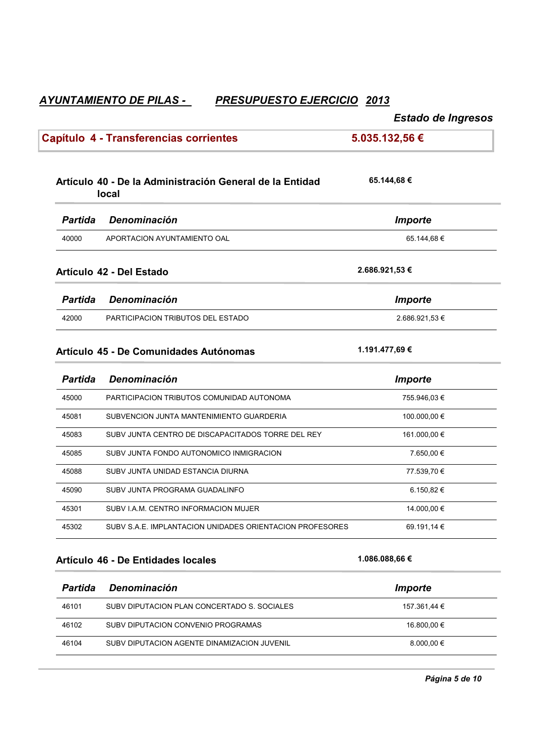# Estado de Ingresos

Ī.

| Capítulo 4 - Transferencias corrientes |                                                                          | 5.035.132,56 € |  |
|----------------------------------------|--------------------------------------------------------------------------|----------------|--|
|                                        | Artículo 40 - De la Administración General de la Entidad<br><b>local</b> | 65.144,68 €    |  |
| <b>Partida</b>                         | Denominación                                                             | <b>Importe</b> |  |
| 40000                                  | APORTACION AYUNTAMIENTO OAL                                              | 65.144,68€     |  |
|                                        | Artículo 42 - Del Estado                                                 | 2.686.921,53 € |  |
| <b>Partida</b>                         | Denominación                                                             | <b>Importe</b> |  |
| 42000                                  | <b>PARTICIPACION TRIBUTOS DEL ESTADO</b>                                 | 2.686.921,53 € |  |
|                                        | Artículo 45 - De Comunidades Autónomas                                   | 1.191.477,69 € |  |
| <b>Partida</b>                         | Denominación                                                             | <b>Importe</b> |  |
| 45000                                  | PARTICIPACION TRIBUTOS COMUNIDAD AUTONOMA                                | 755.946,03 €   |  |
| 45081                                  | SUBVENCION JUNTA MANTENIMIENTO GUARDERIA                                 | 100.000,00 €   |  |
| 45083                                  | SUBV JUNTA CENTRO DE DISCAPACITADOS TORRE DEL REY                        | 161.000,00 €   |  |
| 45085                                  | SUBV JUNTA FONDO AUTONOMICO INMIGRACION                                  | 7.650,00 €     |  |
| 45088                                  | SUBV JUNTA UNIDAD ESTANCIA DIURNA                                        | 77.539,70 €    |  |
| 45090                                  | SUBV JUNTA PROGRAMA GUADALINFO                                           | 6.150,82 €     |  |
| 45301                                  | SUBV I.A.M. CENTRO INFORMACION MUJER                                     | 14.000,00 €    |  |
| 45302                                  | SUBV S.A.E. IMPLANTACION UNIDADES ORIENTACION PROFESORES                 | 69.191,14 €    |  |
|                                        | Artículo 46 - De Entidades locales                                       | 1.086.088,66 € |  |
| <b>Partida</b>                         | Denominación                                                             | <b>Importe</b> |  |
| 46101                                  | SUBV DIPUTACION PLAN CONCERTADO S. SOCIALES                              | 157.361,44 €   |  |
| 46102                                  | SUBV DIPUTACION CONVENIO PROGRAMAS                                       | 16.800,00 €    |  |
| 46104                                  | SUBV DIPUTACION AGENTE DINAMIZACION JUVENIL                              | 8.000,00 €     |  |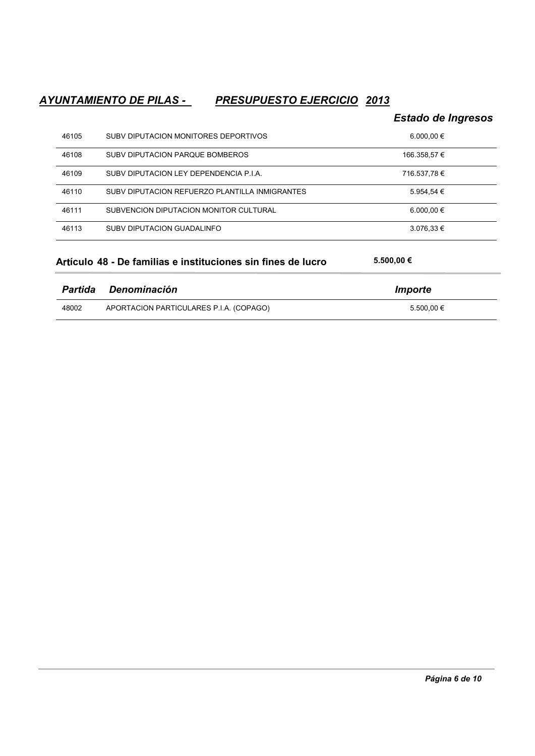## *`xtms`lhdmsn?cd?ohk`r?L oqdrtotdrsn?didqbhbhn QOPR*

# $Estado$  de Ingresos  $46105$  SUBV DIPUTACION MONITORES DEPORTIVOS  $6.000,00 \in$  $46108$  SUBV DIPUTACION PARQUE BOMBEROS  $166.358,57 \in$  $46109$  SUBV DIPUTACION LEY DEPENDENCIA P.I.A.  $716.537,78 \in$ 46110 SUBV DIPUTACION REFUERZO PLANTILLA INMIGRANTES  $5.954,54 \in$  $46111$  SUBVENCION DIPUTACION MONITOR CULTURAL  $6.000,00 \in$  $46113$  SUBV DIPUTACION GUADALINFO  $3.076,33 \in$

| Artículo 48 - De familias e instituciones sin fines de lucro |              | 5.500.00 €     |  |
|--------------------------------------------------------------|--------------|----------------|--|
| Partida                                                      | Denominación | <i>Importe</i> |  |

| 48002 | APORTACION PARTICULARES P.I.A. (COPAGO) | 5.500.00 € |
|-------|-----------------------------------------|------------|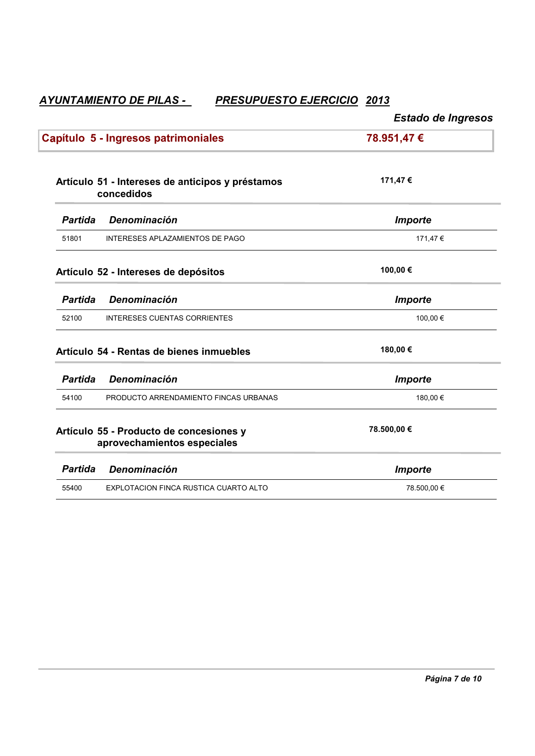|                |                                                                        | <b>Estado de Ingresos</b> |
|----------------|------------------------------------------------------------------------|---------------------------|
|                | Capítulo 5 - Ingresos patrimoniales                                    | 78.951,47 €               |
|                | Artículo 51 - Intereses de anticipos y préstamos<br>concedidos         | 171,47 €                  |
| <b>Partida</b> | Denominación                                                           | <b>Importe</b>            |
| 51801          | INTERESES APLAZAMIENTOS DE PAGO                                        | 171,47€                   |
|                | Artículo 52 - Intereses de depósitos                                   | 100,00€                   |
| <b>Partida</b> | Denominación                                                           | <b>Importe</b>            |
| 52100          | <b>INTERESES CUENTAS CORRIENTES</b>                                    | 100,00 €                  |
|                | Artículo 54 - Rentas de bienes inmuebles                               | 180,00€                   |
| <b>Partida</b> | Denominación                                                           | <b>Importe</b>            |
| 54100          | PRODUCTO ARRENDAMIENTO FINCAS URBANAS                                  | 180,00 €                  |
|                | Artículo 55 - Producto de concesiones y<br>aprovechamientos especiales | 78.500,00 €               |
| <b>Partida</b> | Denominación                                                           | <b>Importe</b>            |
| 55400          | EXPLOTACION FINCA RUSTICA CUARTO ALTO                                  | 78.500,00 €               |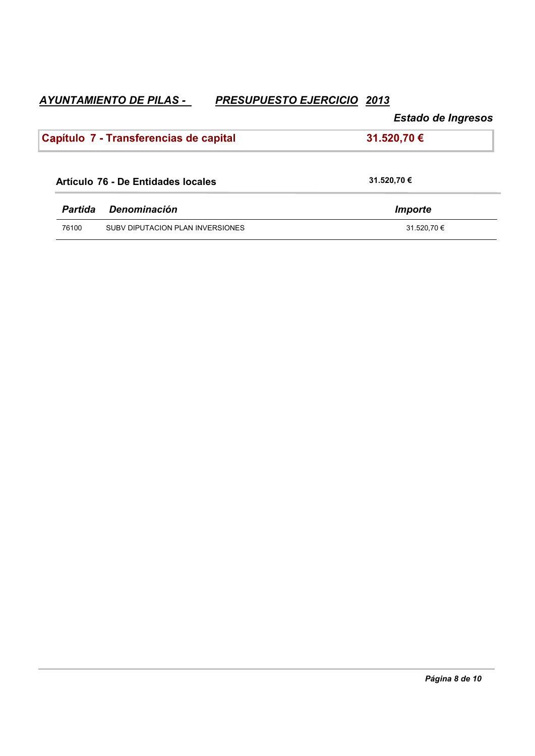ľ

# Estado de Ingresos

|                | Capítulo 7 - Transferencias de capital | 31.520,70 € |
|----------------|----------------------------------------|-------------|
|                | Artículo 76 - De Entidades locales     | 31.520,70 € |
| <b>Partida</b> | Denominación                           | Importe     |
| 76100          | SUBV DIPUTACION PLAN INVERSIONES       | 31.520,70 € |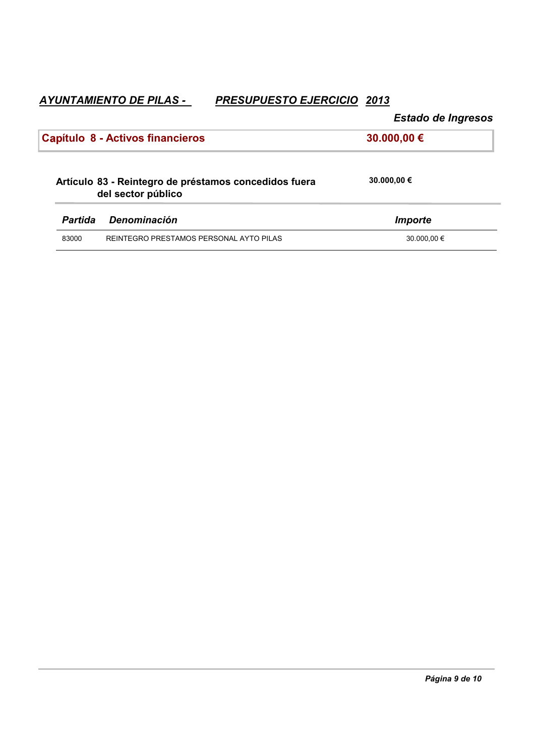Estado de Ingresos

| Capítulo 8 - Activos financieros<br>30.000,00 €                             |                                         |             |
|-----------------------------------------------------------------------------|-----------------------------------------|-------------|
| Artículo 83 - Reintegro de préstamos concedidos fuera<br>del sector público |                                         | 30.000,00 € |
| <b>Partida</b>                                                              | Denominación                            | Importe     |
| 83000                                                                       | REINTEGRO PRESTAMOS PERSONAL AYTO PILAS | 30,000,00 € |